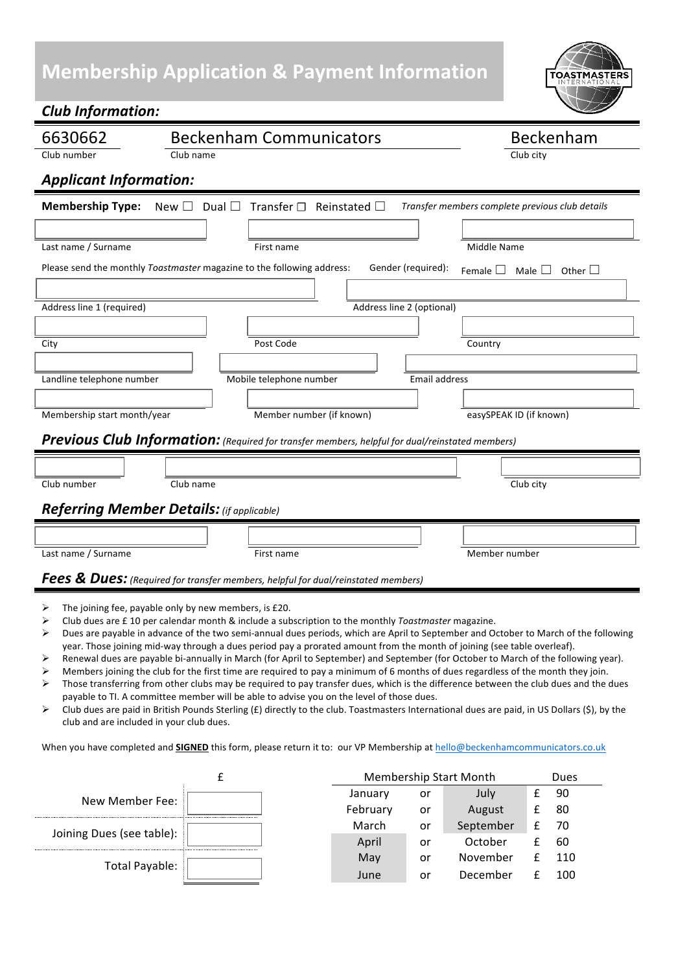# **Membership Application & Payment Information**

*Club Information:*



| 6630662                                                                                                                                                      | <b>Beckenham Communicators</b>                           | Beckenham                                       |  |  |  |  |  |  |
|--------------------------------------------------------------------------------------------------------------------------------------------------------------|----------------------------------------------------------|-------------------------------------------------|--|--|--|--|--|--|
| Club number                                                                                                                                                  | Club name                                                | Club city                                       |  |  |  |  |  |  |
| <b>Applicant Information:</b>                                                                                                                                |                                                          |                                                 |  |  |  |  |  |  |
| <b>Membership Type:</b>                                                                                                                                      | New $\Box$ Dual $\Box$ Transfer $\Box$ Reinstated $\Box$ | Transfer members complete previous club details |  |  |  |  |  |  |
|                                                                                                                                                              |                                                          |                                                 |  |  |  |  |  |  |
| Last name / Surname                                                                                                                                          | First name                                               | <b>Middle Name</b>                              |  |  |  |  |  |  |
| Please send the monthly Toastmaster magazine to the following address:<br>Gender (required):<br>Female $\Box$ Male $\Box$ Other $\Box$                       |                                                          |                                                 |  |  |  |  |  |  |
|                                                                                                                                                              |                                                          |                                                 |  |  |  |  |  |  |
| Address line 1 (required)                                                                                                                                    |                                                          |                                                 |  |  |  |  |  |  |
|                                                                                                                                                              |                                                          |                                                 |  |  |  |  |  |  |
| City                                                                                                                                                         | Post Code                                                | Country                                         |  |  |  |  |  |  |
|                                                                                                                                                              |                                                          |                                                 |  |  |  |  |  |  |
| Landline telephone number<br>Mobile telephone number<br><b>Email address</b>                                                                                 |                                                          |                                                 |  |  |  |  |  |  |
| Membership start month/year                                                                                                                                  | Member number (if known)                                 | easySPEAK ID (if known)                         |  |  |  |  |  |  |
|                                                                                                                                                              |                                                          |                                                 |  |  |  |  |  |  |
| Previous Club Information: (Required for transfer members, helpful for dual/reinstated members)                                                              |                                                          |                                                 |  |  |  |  |  |  |
|                                                                                                                                                              |                                                          |                                                 |  |  |  |  |  |  |
| Club number                                                                                                                                                  | Club city                                                |                                                 |  |  |  |  |  |  |
| <b>Referring Member Details:</b> (if applicable)                                                                                                             |                                                          |                                                 |  |  |  |  |  |  |
|                                                                                                                                                              |                                                          |                                                 |  |  |  |  |  |  |
| Last name / Surname                                                                                                                                          | First name                                               | Member number                                   |  |  |  |  |  |  |
| Fees & Dues: (Required for transfer members, helpful for dual/reinstated members)                                                                            |                                                          |                                                 |  |  |  |  |  |  |
|                                                                                                                                                              |                                                          |                                                 |  |  |  |  |  |  |
| The joining fee, payable only by new members, is £20.<br>Club dues are £ 10 per calendar month & include a subscription to the monthly Toastmaster magazine. |                                                          |                                                 |  |  |  |  |  |  |
| Dues are payable in advance of the two semi-annual dues periods, which are April to September and October to March of the following                          |                                                          |                                                 |  |  |  |  |  |  |

- ble in advance of the two semi-annual dues periods, which are April to September and October to March of the  $\cdot$ year. Those joining mid-way through a dues period pay a prorated amount from the month of joining (see table overleaf).
- E Renewal dues are payable bi-annually in March (for April to September) and September (for October to March of the following year).
- $\triangleright$  Members joining the club for the first time are required to pay a minimum of 6 months of dues regardless of the month they join.
- $\triangleright$  Those transferring from other clubs may be required to pay transfer dues, which is the difference between the club dues and the dues payable to TI. A committee member will be able to advise you on the level of those dues.
- E Uub dues are paid in British Pounds Sterling (£) directly to the club. Toastmasters International dues are paid, in US Dollars (\$), by the club and are included in your club dues.

When you have completed and **SIGNED** this form, please return it to: our VP Membership at hello@beckenhamcommunicators.co.uk

|                           |  | Membership Start Month |    |           | Dues |     |
|---------------------------|--|------------------------|----|-----------|------|-----|
| New Member Fee:           |  | January                | or | July      |      | 90  |
|                           |  | February               | or | August    |      | 80  |
| Joining Dues (see table): |  | March                  | or | September |      | 70  |
|                           |  | April                  | or | October   |      | 60  |
| Total Payable:            |  | May                    | or | November  |      | 110 |
|                           |  | June                   | or | December  |      | 100 |